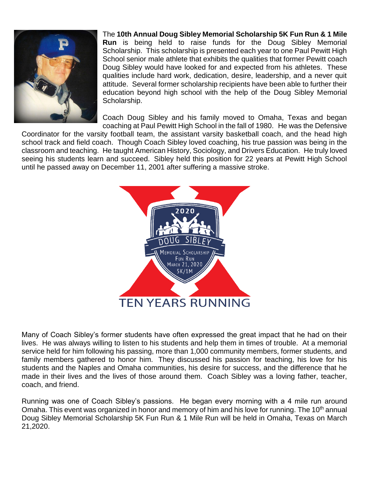

The **10th Annual Doug Sibley Memorial Scholarship 5K Fun Run & 1 Mile Run** is being held to raise funds for the Doug Sibley Memorial Scholarship. This scholarship is presented each year to one Paul Pewitt High School senior male athlete that exhibits the qualities that former Pewitt coach Doug Sibley would have looked for and expected from his athletes. These qualities include hard work, dedication, desire, leadership, and a never quit attitude. Several former scholarship recipients have been able to further their education beyond high school with the help of the Doug Sibley Memorial Scholarship.

Coach Doug Sibley and his family moved to Omaha, Texas and began coaching at Paul Pewitt High School in the fall of 1980. He was the Defensive

Coordinator for the varsity football team, the assistant varsity basketball coach, and the head high school track and field coach. Though Coach Sibley loved coaching, his true passion was being in the classroom and teaching. He taught American History, Sociology, and Drivers Education. He truly loved seeing his students learn and succeed. Sibley held this position for 22 years at Pewitt High School until he passed away on December 11, 2001 after suffering a massive stroke.



Many of Coach Sibley's former students have often expressed the great impact that he had on their lives. He was always willing to listen to his students and help them in times of trouble. At a memorial service held for him following his passing, more than 1,000 community members, former students, and family members gathered to honor him. They discussed his passion for teaching, his love for his students and the Naples and Omaha communities, his desire for success, and the difference that he made in their lives and the lives of those around them. Coach Sibley was a loving father, teacher, coach, and friend.

Running was one of Coach Sibley's passions. He began every morning with a 4 mile run around Omaha. This event was organized in honor and memory of him and his love for running. The 10<sup>th</sup> annual Doug Sibley Memorial Scholarship 5K Fun Run & 1 Mile Run will be held in Omaha, Texas on March 21,2020.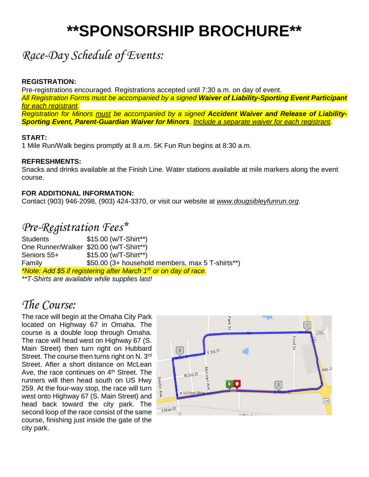# **\*\*SPONSORSHIP BROCHURE\*\***

## *Race-Day Schedule of Events:*

### **REGISTRATION:**

Pre-registrations encouraged. Registrations accepted until 7:30 a.m. on day of event. *All Registration Forms must be accompanied by a signed Waiver of Liability-Sporting Event Participant for each registrant. Registration for Minors must be accompanied by a signed Accident Waiver and Release of Liability-Sporting Event, Parent-Guardian Waiver for Minors. Include a separate waiver for each registrant.*

### **START:**

1 Mile Run/Walk begins promptly at 8 a.m. 5K Fun Run begins at 8:30 a.m.

#### **REFRESHMENTS:**

Snacks and drinks available at the Finish Line. Water stations available at mile markers along the event course.

#### **FOR ADDITIONAL INFORMATION:**

Contact (903) 946-2098, (903) 424-3370, or visit our website at *www.dougsibleyfunrun.org*.

## *Pre-Registration Fees\**

Students \$15.00 (w/T-Shirt\*\*) One Runner/Walker \$20.00 (w/T-Shirt\*\*) Seniors 55+  $$15.00$  (w/T-Shirt\*\*) Family \$50.00 (3+ household members, max 5 T-shirts\*\*) *\*Note: Add \$5 if registering after March 1st or on day of race.* 

*\*\*T-Shirts are available while supplies last!* 

## *The Course:*

The race will begin at the Omaha City Park located on Highway 67 in Omaha. The course is a double loop through Omaha. The race will head west on Highway 67 (S. Main Street) then turn right on Hubbard Street. The course then turns right on N. 3rd Street. After a short distance on McLean Ave, the race continues on 4<sup>th</sup> Street. The runners will then head south on US Hwy 259. At the four-way stop, the race will turn west onto Highway 67 (S. Main Street) and head back toward the city park. The second loop of the race consist of the same course, finishing just inside the gate of the city park.

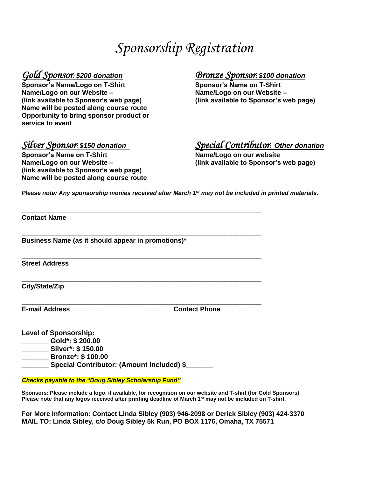# *Sponsorship Registration*

**Sponsor's Name/Logo on T-Shirt Name/Logo on our Website – Name/Logo on our Website – (link available to Sponsor's web page) (link available to Sponsor's web page) Name will be posted along course route Opportunity to bring sponsor product or service to event** 

**Sponsor's Name on T-Shirt Name/Logo on our website Name/Logo on our Website – (link available to Sponsor's web page) (link available to Sponsor's web page) Name will be posted along course route**

# *Gold Sponsor: \$200 donation Bronze Sponsor: \$100 donation*

## *Silver Sponsor: \$150 donation Special Contributor: Other donation*

*Please note: Any sponsorship monies received after March 1st may not be included in printed materials.*

**\_\_\_\_\_\_\_\_\_\_\_\_\_\_\_\_\_\_\_\_\_\_\_\_\_\_\_\_\_\_\_\_\_\_\_\_\_\_\_\_\_\_\_\_\_\_\_\_\_\_\_\_\_\_\_\_\_\_\_\_\_\_\_\_\_** 

**\_\_\_\_\_\_\_\_\_\_\_\_\_\_\_\_\_\_\_\_\_\_\_\_\_\_\_\_\_\_\_\_\_\_\_\_\_\_\_\_\_\_\_\_\_\_\_\_\_\_\_\_\_\_\_\_\_\_\_\_\_\_\_\_\_** 

**\_\_\_\_\_\_\_\_\_\_\_\_\_\_\_\_\_\_\_\_\_\_\_\_\_\_\_\_\_\_\_\_\_\_\_\_\_\_\_\_\_\_\_\_\_\_\_\_\_\_\_\_\_\_\_\_\_\_\_\_\_\_\_\_\_** 

**\_\_\_\_\_\_\_\_\_\_\_\_\_\_\_\_\_\_\_\_\_\_\_\_\_\_\_\_\_\_\_\_\_\_\_\_\_\_\_\_\_\_\_\_\_\_\_\_\_\_\_\_\_\_\_\_\_\_\_\_\_\_\_\_\_** 

**Contact Name** 

**Business Name (as it should appear in promotions)\*** 

**Street Address** 

**City/State/Zip** 

**\_\_\_\_\_\_\_\_\_\_\_\_\_\_\_\_\_\_\_\_\_\_\_\_\_\_\_\_\_\_\_\_\_\_\_\_\_\_\_\_\_\_\_\_\_\_\_\_\_\_\_\_\_\_\_\_\_\_\_\_\_\_\_\_\_ E-mail Address Contact Phone** 

**Level of Sponsorship:** 

**\_\_\_\_\_\_\_ Gold\*: \$ 200.00 \_\_\_\_\_\_\_ Silver\*: \$ 150.00** 

**\_\_\_\_\_\_\_ Bronze\*: \$ 100.00**

Special Contributor: (Amount Included) \$

*Checks payable to the "Doug Sibley Scholarship Fund"*

**Sponsors: Please include a logo, if available, for recognition on our website and T-shirt (for Gold Sponsors) Please note that any logos received after printing deadline of March 1st may not be included on T-shirt.** 

**For More Information: Contact Linda Sibley (903) 946-2098 or Derick Sibley (903) 424-3370 MAIL TO: Linda Sibley, c/o Doug Sibley 5k Run, PO BOX 1176, Omaha, TX 75571**